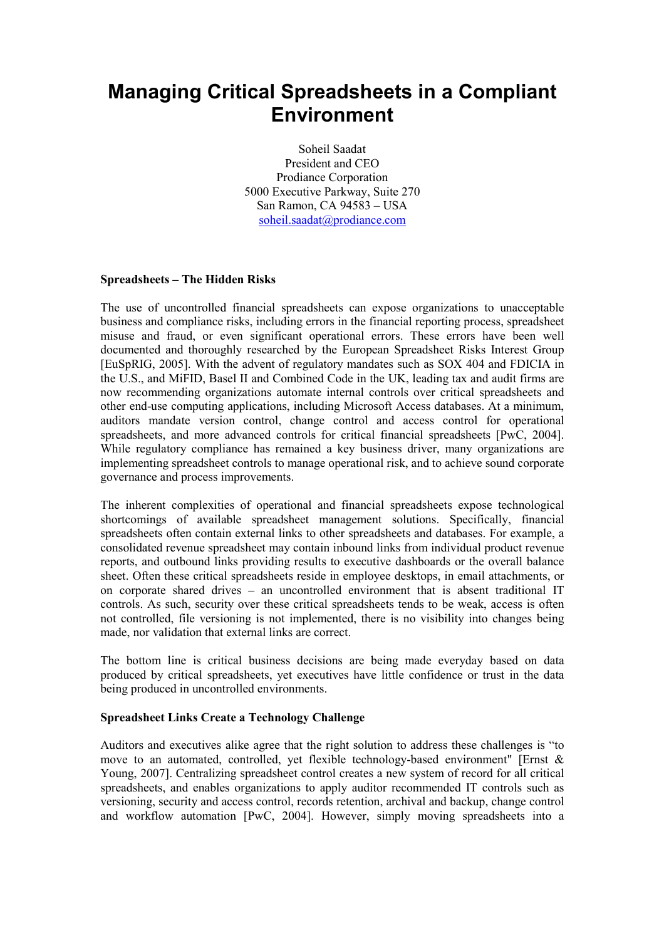# Managing Critical Spreadsheets in a Compliant Environment

Soheil Saadat President and CEO Prodiance Corporation 5000 Executive Parkway, Suite 270 San Ramon, CA 94583 – USA soheil.saadat@prodiance.com

## Spreadsheets – The Hidden Risks

The use of uncontrolled financial spreadsheets can expose organizations to unacceptable business and compliance risks, including errors in the financial reporting process, spreadsheet misuse and fraud, or even significant operational errors. These errors have been well documented and thoroughly researched by the European Spreadsheet Risks Interest Group [EuSpRIG, 2005]. With the advent of regulatory mandates such as SOX 404 and FDICIA in the U.S., and MiFID, Basel II and Combined Code in the UK, leading tax and audit firms are now recommending organizations automate internal controls over critical spreadsheets and other end-use computing applications, including Microsoft Access databases. At a minimum, auditors mandate version control, change control and access control for operational spreadsheets, and more advanced controls for critical financial spreadsheets [PwC, 2004]. While regulatory compliance has remained a key business driver, many organizations are implementing spreadsheet controls to manage operational risk, and to achieve sound corporate governance and process improvements.

The inherent complexities of operational and financial spreadsheets expose technological shortcomings of available spreadsheet management solutions. Specifically, financial spreadsheets often contain external links to other spreadsheets and databases. For example, a consolidated revenue spreadsheet may contain inbound links from individual product revenue reports, and outbound links providing results to executive dashboards or the overall balance sheet. Often these critical spreadsheets reside in employee desktops, in email attachments, or on corporate shared drives – an uncontrolled environment that is absent traditional IT controls. As such, security over these critical spreadsheets tends to be weak, access is often not controlled, file versioning is not implemented, there is no visibility into changes being made, nor validation that external links are correct.

The bottom line is critical business decisions are being made everyday based on data produced by critical spreadsheets, yet executives have little confidence or trust in the data being produced in uncontrolled environments.

#### Spreadsheet Links Create a Technology Challenge

Auditors and executives alike agree that the right solution to address these challenges is "to move to an automated, controlled, yet flexible technology-based environment" [Ernst & Young, 2007]. Centralizing spreadsheet control creates a new system of record for all critical spreadsheets, and enables organizations to apply auditor recommended IT controls such as versioning, security and access control, records retention, archival and backup, change control and workflow automation [PwC, 2004]. However, simply moving spreadsheets into a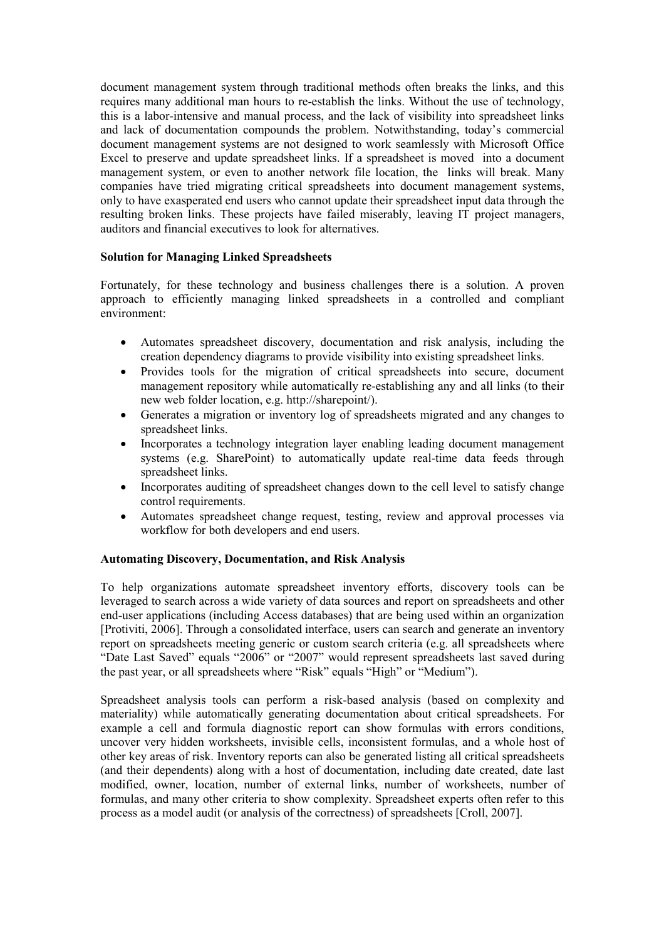document management system through traditional methods often breaks the links, and this requires many additional man hours to re-establish the links. Without the use of technology, this is a labor-intensive and manual process, and the lack of visibility into spreadsheet links and lack of documentation compounds the problem. Notwithstanding, today's commercial document management systems are not designed to work seamlessly with Microsoft Office Excel to preserve and update spreadsheet links. If a spreadsheet is moved into a document management system, or even to another network file location, the links will break. Many companies have tried migrating critical spreadsheets into document management systems, only to have exasperated end users who cannot update their spreadsheet input data through the resulting broken links. These projects have failed miserably, leaving IT project managers, auditors and financial executives to look for alternatives.

### Solution for Managing Linked Spreadsheets

Fortunately, for these technology and business challenges there is a solution. A proven approach to efficiently managing linked spreadsheets in a controlled and compliant environment:

- Automates spreadsheet discovery, documentation and risk analysis, including the creation dependency diagrams to provide visibility into existing spreadsheet links.
- Provides tools for the migration of critical spreadsheets into secure, document management repository while automatically re-establishing any and all links (to their new web folder location, e.g. http://sharepoint/).
- Generates a migration or inventory log of spreadsheets migrated and any changes to spreadsheet links.
- Incorporates a technology integration layer enabling leading document management systems (e.g. SharePoint) to automatically update real-time data feeds through spreadsheet links.
- Incorporates auditing of spreadsheet changes down to the cell level to satisfy change control requirements.
- Automates spreadsheet change request, testing, review and approval processes via workflow for both developers and end users.

#### Automating Discovery, Documentation, and Risk Analysis

To help organizations automate spreadsheet inventory efforts, discovery tools can be leveraged to search across a wide variety of data sources and report on spreadsheets and other end-user applications (including Access databases) that are being used within an organization [Protiviti, 2006]. Through a consolidated interface, users can search and generate an inventory report on spreadsheets meeting generic or custom search criteria (e.g. all spreadsheets where "Date Last Saved" equals "2006" or "2007" would represent spreadsheets last saved during the past year, or all spreadsheets where "Risk" equals "High" or "Medium").

Spreadsheet analysis tools can perform a risk-based analysis (based on complexity and materiality) while automatically generating documentation about critical spreadsheets. For example a cell and formula diagnostic report can show formulas with errors conditions, uncover very hidden worksheets, invisible cells, inconsistent formulas, and a whole host of other key areas of risk. Inventory reports can also be generated listing all critical spreadsheets (and their dependents) along with a host of documentation, including date created, date last modified, owner, location, number of external links, number of worksheets, number of formulas, and many other criteria to show complexity. Spreadsheet experts often refer to this process as a model audit (or analysis of the correctness) of spreadsheets [Croll, 2007].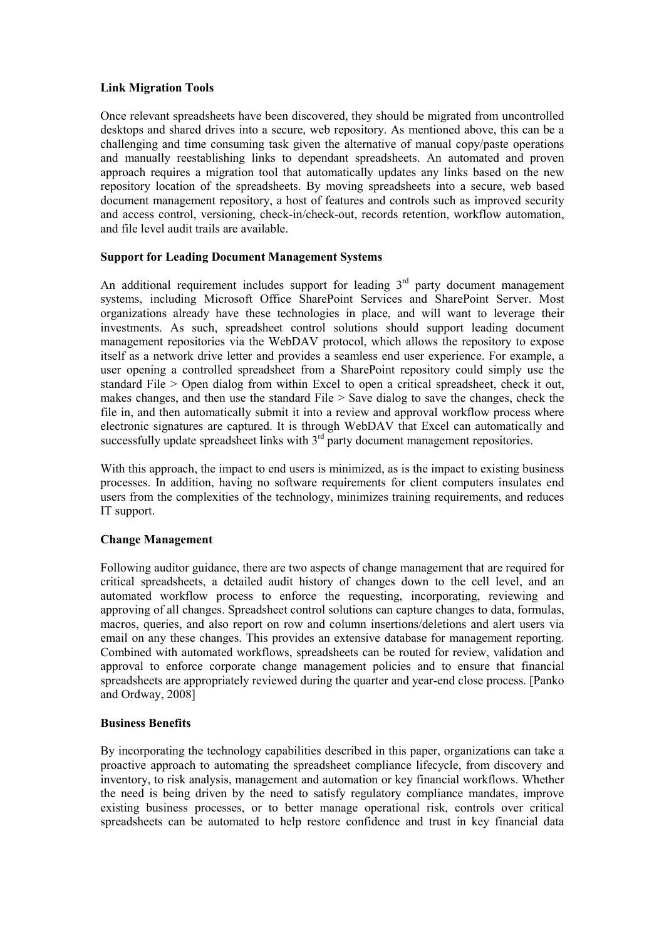#### Link Migration Tools

Once relevant spreadsheets have been discovered, they should be migrated from uncontrolled desktops and shared drives into a secure, web repository. As mentioned above, this can be a challenging and time consuming task given the alternative of manual copy/paste operations and manually reestablishing links to dependant spreadsheets. An automated and proven approach requires a migration tool that automatically updates any links based on the new repository location of the spreadsheets. By moving spreadsheets into a secure, web based document management repository, a host of features and controls such as improved security and access control, versioning, check-in/check-out, records retention, workflow automation, and file level audit trails are available.

#### Support for Leading Document Management Systems

An additional requirement includes support for leading  $3<sup>rd</sup>$  party document management systems, including Microsoft Office SharePoint Services and SharePoint Server. Most organizations already have these technologies in place, and will want to leverage their investments. As such, spreadsheet control solutions should support leading document management repositories via the WebDAV protocol, which allows the repository to expose itself as a network drive letter and provides a seamless end user experience. For example, a user opening a controlled spreadsheet from a SharePoint repository could simply use the standard File > Open dialog from within Excel to open a critical spreadsheet, check it out, makes changes, and then use the standard File  $>$  Save dialog to save the changes, check the file in, and then automatically submit it into a review and approval workflow process where electronic signatures are captured. It is through WebDAV that Excel can automatically and successfully update spreadsheet links with  $3<sup>rd</sup>$  party document management repositories.

With this approach, the impact to end users is minimized, as is the impact to existing business processes. In addition, having no software requirements for client computers insulates end users from the complexities of the technology, minimizes training requirements, and reduces IT support.

#### Change Management

Following auditor guidance, there are two aspects of change management that are required for critical spreadsheets, a detailed audit history of changes down to the cell level, and an automated workflow process to enforce the requesting, incorporating, reviewing and approving of all changes. Spreadsheet control solutions can capture changes to data, formulas, macros, queries, and also report on row and column insertions/deletions and alert users via email on any these changes. This provides an extensive database for management reporting. Combined with automated workflows, spreadsheets can be routed for review, validation and approval to enforce corporate change management policies and to ensure that financial spreadsheets are appropriately reviewed during the quarter and year-end close process. [Panko and Ordway, 2008]

#### Business Benefits

By incorporating the technology capabilities described in this paper, organizations can take a proactive approach to automating the spreadsheet compliance lifecycle, from discovery and inventory, to risk analysis, management and automation or key financial workflows. Whether the need is being driven by the need to satisfy regulatory compliance mandates, improve existing business processes, or to better manage operational risk, controls over critical spreadsheets can be automated to help restore confidence and trust in key financial data